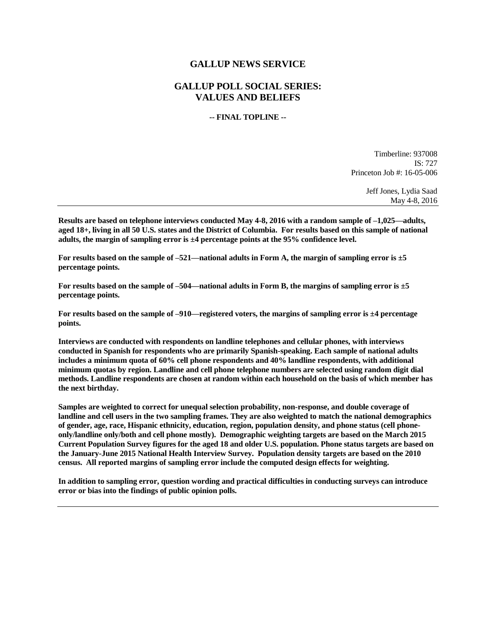## **GALLUP NEWS SERVICE**

## **GALLUP POLL SOCIAL SERIES: VALUES AND BELIEFS**

## **-- FINAL TOPLINE --**

Timberline: 937008 IS: 727 Princeton Job #: 16-05-006

> Jeff Jones, Lydia Saad May 4-8, 2016

**Results are based on telephone interviews conducted May 4-8, 2016 with a random sample of –1,025—adults, aged 18+, living in all 50 U.S. states and the District of Columbia. For results based on this sample of national adults, the margin of sampling error is ±4 percentage points at the 95% confidence level.** 

**For results based on the sample of –521—national adults in Form A, the margin of sampling error is ±5 percentage points.**

**For results based on the sample of –504—national adults in Form B, the margins of sampling error is ±5 percentage points.**

**For results based on the sample of –910—registered voters, the margins of sampling error is ±4 percentage points.**

**Interviews are conducted with respondents on landline telephones and cellular phones, with interviews conducted in Spanish for respondents who are primarily Spanish-speaking. Each sample of national adults includes a minimum quota of 60% cell phone respondents and 40% landline respondents, with additional minimum quotas by region. Landline and cell phone telephone numbers are selected using random digit dial methods. Landline respondents are chosen at random within each household on the basis of which member has the next birthday.**

**Samples are weighted to correct for unequal selection probability, non-response, and double coverage of landline and cell users in the two sampling frames. They are also weighted to match the national demographics of gender, age, race, Hispanic ethnicity, education, region, population density, and phone status (cell phoneonly/landline only/both and cell phone mostly). Demographic weighting targets are based on the March 2015 Current Population Survey figures for the aged 18 and older U.S. population. Phone status targets are based on the January-June 2015 National Health Interview Survey. Population density targets are based on the 2010 census. All reported margins of sampling error include the computed design effects for weighting.** 

**In addition to sampling error, question wording and practical difficulties in conducting surveys can introduce error or bias into the findings of public opinion polls.**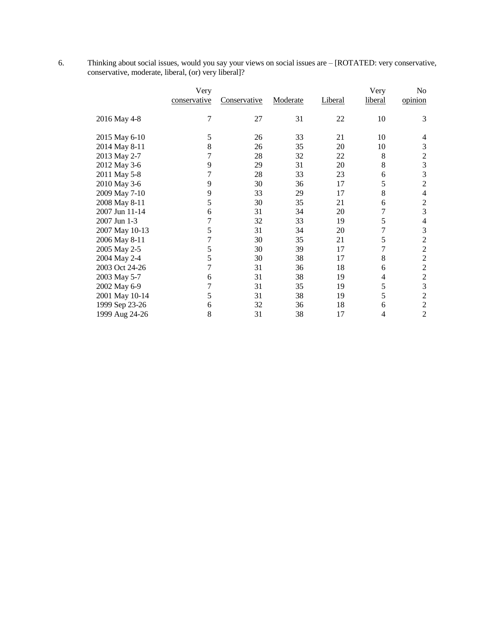6. Thinking about social issues, would you say your views on social issues are – [ROTATED: very conservative, conservative, moderate, liberal, (or) very liberal]?

|                | Very<br>conservative | <u>Conservative</u> | Moderate | Liberal | Very<br>liberal | No<br>opinion    |
|----------------|----------------------|---------------------|----------|---------|-----------------|------------------|
| 2016 May 4-8   | 7                    | 27                  | 31       | 22      | 10              | 3                |
| 2015 May 6-10  | 5                    | 26                  | 33       | 21      | 10              | 4                |
| 2014 May 8-11  | 8                    | 26                  | 35       | 20      | 10              | 3                |
| 2013 May 2-7   | 7                    | 28                  | 32       | 22      | 8               | $\boldsymbol{2}$ |
| 2012 May 3-6   | 9                    | 29                  | 31       | 20      | 8               | $\overline{3}$   |
| 2011 May 5-8   | 7                    | 28                  | 33       | 23      | 6               | 3                |
| 2010 May 3-6   | 9                    | 30                  | 36       | 17      | 5               | $\overline{2}$   |
| 2009 May 7-10  | 9                    | 33                  | 29       | 17      | 8               | $\overline{4}$   |
| 2008 May 8-11  | 5                    | 30                  | 35       | 21      | 6               | 2                |
| 2007 Jun 11-14 | 6                    | 31                  | 34       | 20      | 7               | 3                |
| 2007 Jun 1-3   | 7                    | 32                  | 33       | 19      | 5               | $\overline{4}$   |
| 2007 May 10-13 | 5                    | 31                  | 34       | 20      | 7               | 3                |
| 2006 May 8-11  | 7                    | 30                  | 35       | 21      | 5               | $\overline{2}$   |
| 2005 May 2-5   | 5                    | 30                  | 39       | 17      | 7               | $\overline{2}$   |
| 2004 May 2-4   | 5                    | 30                  | 38       | 17      | 8               | $\overline{c}$   |
| 2003 Oct 24-26 | 7                    | 31                  | 36       | 18      | 6               | $\overline{2}$   |
| 2003 May 5-7   | 6                    | 31                  | 38       | 19      | 4               | $\sqrt{2}$       |
| 2002 May 6-9   | 7                    | 31                  | 35       | 19      | 5               | 3                |
| 2001 May 10-14 | 5                    | 31                  | 38       | 19      | 5               | $\overline{2}$   |
| 1999 Sep 23-26 | 6                    | 32                  | 36       | 18      | 6               | $\overline{2}$   |
| 1999 Aug 24-26 | 8                    | 31                  | 38       | 17      | 4               | $\overline{2}$   |